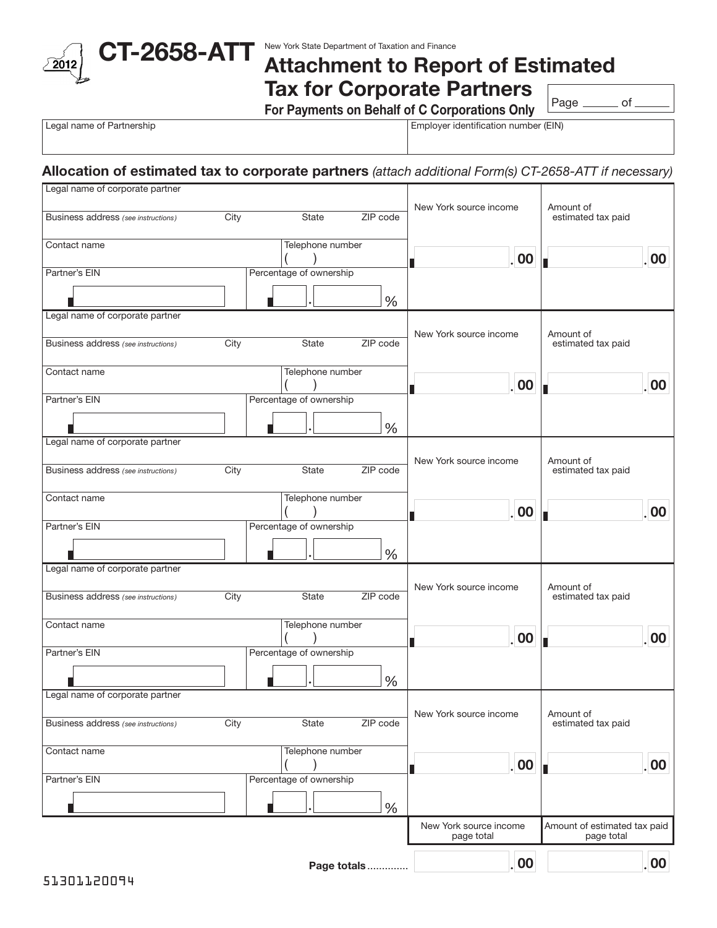

## Attachment to Report of Estimated Tax for Corporate Partners

For Payments on Behalf of C Corporations Only

Page \_\_\_\_\_\_\_ of \_

Legal name of Partnership **Employer identification number (EIN)** Employer identification number (EIN)

## Allocation of estimated tax to corporate partners *(attach additional Form(s) CT-2658-ATT if necessary)*

| Legal name of corporate partner     |      |                         |               |                                      |                                            |          |
|-------------------------------------|------|-------------------------|---------------|--------------------------------------|--------------------------------------------|----------|
| Business address (see instructions) | City | State                   | ZIP code      | New York source income               | Amount of<br>estimated tax paid            |          |
| Contact name                        |      | Telephone number        |               | . 00                                 |                                            | 00       |
| Partner's EIN                       |      | Percentage of ownership |               |                                      |                                            |          |
|                                     |      |                         | $\frac{0}{0}$ |                                      |                                            |          |
| Legal name of corporate partner     |      |                         |               |                                      |                                            |          |
| Business address (see instructions) | City | State                   | ZIP code      | New York source income               | Amount of<br>estimated tax paid            |          |
| Contact name                        |      | Telephone number        |               | . 00                                 |                                            | 00       |
| Partner's EIN                       |      | Percentage of ownership |               |                                      |                                            |          |
|                                     |      |                         | $\frac{0}{0}$ |                                      |                                            |          |
| Legal name of corporate partner     |      |                         |               |                                      |                                            |          |
| Business address (see instructions) | City | State                   | ZIP code      | New York source income               | Amount of<br>estimated tax paid            |          |
| Contact name                        |      | Telephone number        |               | . 00                                 |                                            | 00       |
| Partner's EIN                       |      | Percentage of ownership |               |                                      |                                            |          |
|                                     |      |                         | $\frac{0}{0}$ |                                      |                                            |          |
| Legal name of corporate partner     |      |                         |               | New York source income               |                                            |          |
| Business address (see instructions) | City | State                   | ZIP code      |                                      | Amount of<br>estimated tax paid            |          |
| Contact name                        |      | Telephone number        |               | . 00                                 |                                            | 00       |
| Partner's EIN                       |      | Percentage of ownership |               |                                      |                                            |          |
|                                     |      |                         | $\frac{0}{0}$ |                                      |                                            |          |
| Legal name of corporate partner     |      |                         |               |                                      |                                            |          |
| Business address (see instructions) | City | <b>State</b>            | ZIP code      | New York source income               | Amount of<br>estimated tax paid            |          |
| Contact name                        |      | Telephone number        |               | .00                                  |                                            | 00       |
| Partner's EIN                       |      | Percentage of ownership |               |                                      |                                            |          |
|                                     |      |                         | %             |                                      |                                            |          |
|                                     |      |                         |               | New York source income<br>page total | Amount of estimated tax paid<br>page total |          |
|                                     |      |                         | Page totals   | .00                                  |                                            | $.00 \,$ |